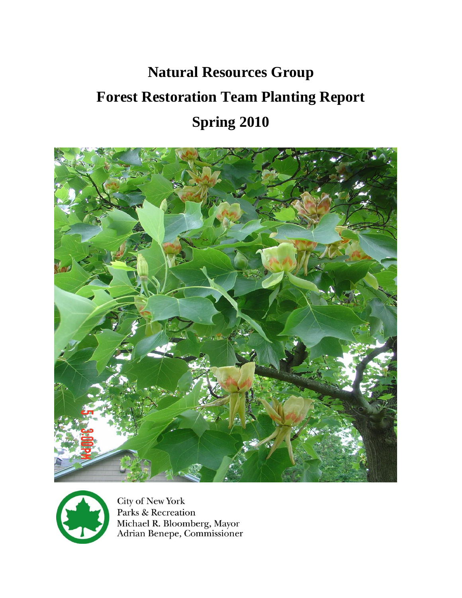# **Natural Resources Group Forest Restoration Team Planting Report Spring 2010**





**City of New York** Parks & Recreation Michael R. Bloomberg, Mayor<br>Adrian Benepe, Commissioner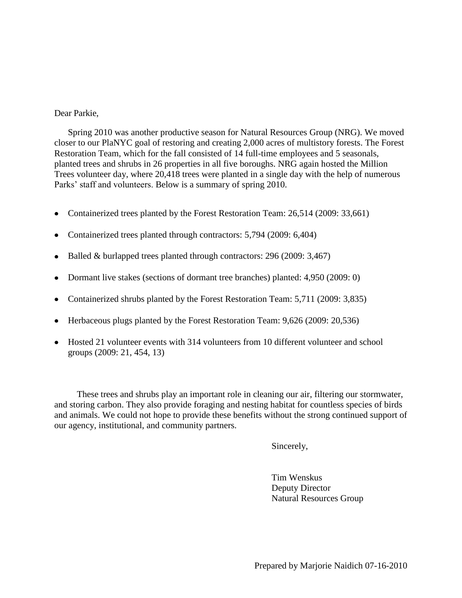#### Dear Parkie,

Spring 2010 was another productive season for Natural Resources Group (NRG). We moved closer to our PlaNYC goal of restoring and creating 2,000 acres of multistory forests. The Forest Restoration Team, which for the fall consisted of 14 full-time employees and 5 seasonals, planted trees and shrubs in 26 properties in all five boroughs. NRG again hosted the Million Trees volunteer day, where 20,418 trees were planted in a single day with the help of numerous Parks' staff and volunteers. Below is a summary of spring 2010.

- Containerized trees planted by the Forest Restoration Team: 26,514 (2009: 33,661)  $\bullet$
- Containerized trees planted through contractors: 5,794 (2009: 6,404)
- Balled & burlapped trees planted through contractors: 296 (2009: 3,467)
- Dormant live stakes (sections of dormant tree branches) planted: 4,950 (2009: 0)
- Containerized shrubs planted by the Forest Restoration Team: 5,711 (2009: 3,835)
- Herbaceous plugs planted by the Forest Restoration Team: 9,626 (2009: 20,536)
- Hosted 21 volunteer events with 314 volunteers from 10 different volunteer and school groups (2009: 21, 454, 13)

 These trees and shrubs play an important role in cleaning our air, filtering our stormwater, and storing carbon. They also provide foraging and nesting habitat for countless species of birds and animals. We could not hope to provide these benefits without the strong continued support of our agency, institutional, and community partners.

Sincerely,

Tim Wenskus Deputy Director Natural Resources Group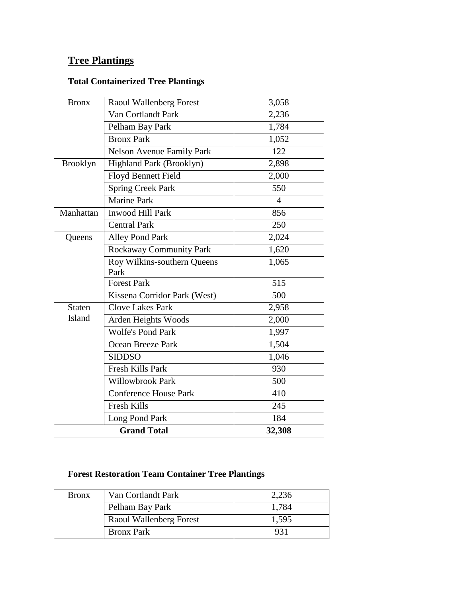# **Tree Plantings**

# **Total Containerized Tree Plantings**

| <b>Bronx</b>    | Raoul Wallenberg Forest          | 3,058          |
|-----------------|----------------------------------|----------------|
|                 | Van Cortlandt Park               | 2,236          |
|                 | Pelham Bay Park                  | 1,784          |
|                 | <b>Bronx Park</b>                | 1,052          |
|                 | <b>Nelson Avenue Family Park</b> | 122            |
| <b>Brooklyn</b> | Highland Park (Brooklyn)         | 2,898          |
|                 | <b>Floyd Bennett Field</b>       | 2,000          |
|                 | <b>Spring Creek Park</b>         | 550            |
|                 | <b>Marine Park</b>               | $\overline{4}$ |
| Manhattan       | Inwood Hill Park                 | 856            |
|                 | <b>Central Park</b>              | 250            |
| Queens          | <b>Alley Pond Park</b>           | 2,024          |
|                 | Rockaway Community Park          | 1,620          |
|                 | Roy Wilkins-southern Queens      | 1,065          |
|                 | Park                             |                |
|                 | Forest Park                      | 515            |
|                 | Kissena Corridor Park (West)     | 500            |
| <b>Staten</b>   | <b>Clove Lakes Park</b>          | 2,958          |
| Island          | Arden Heights Woods              | 2,000          |
|                 | <b>Wolfe's Pond Park</b>         | 1,997          |
|                 | <b>Ocean Breeze Park</b>         | 1,504          |
|                 | <b>SIDDSO</b>                    | 1,046          |
|                 | Fresh Kills Park                 | 930            |
|                 | Willowbrook Park                 | 500            |
|                 | <b>Conference House Park</b>     | 410            |
|                 | <b>Fresh Kills</b>               | 245            |
|                 | Long Pond Park                   | 184            |
|                 | <b>Grand Total</b>               | 32,308         |

## **Forest Restoration Team Container Tree Plantings**

| <b>Bronx</b> | Van Cortlandt Park      | 2,236 |
|--------------|-------------------------|-------|
|              | Pelham Bay Park         | 1,784 |
|              | Raoul Wallenberg Forest | 1,595 |
|              | <b>Bronx Park</b>       | 931   |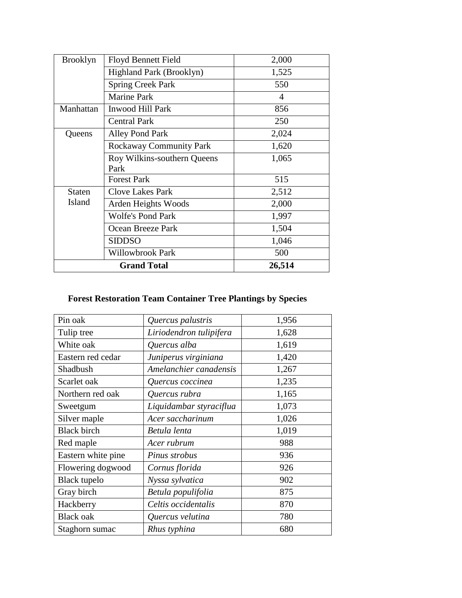| <b>Brooklyn</b> | <b>Floyd Bennett Field</b>     | 2,000  |
|-----------------|--------------------------------|--------|
|                 | Highland Park (Brooklyn)       | 1,525  |
|                 | <b>Spring Creek Park</b>       | 550    |
|                 | <b>Marine Park</b>             | 4      |
| Manhattan       | <b>Inwood Hill Park</b>        | 856    |
|                 | <b>Central Park</b>            | 250    |
| Queens          | Alley Pond Park                | 2,024  |
|                 | <b>Rockaway Community Park</b> | 1,620  |
|                 | Roy Wilkins-southern Queens    | 1,065  |
|                 | Park                           |        |
|                 | <b>Forest Park</b>             | 515    |
| <b>Staten</b>   | <b>Clove Lakes Park</b>        | 2,512  |
| Island          | Arden Heights Woods            | 2,000  |
|                 | <b>Wolfe's Pond Park</b>       | 1,997  |
|                 | Ocean Breeze Park              | 1,504  |
|                 | SIDDSO                         | 1,046  |
|                 | Willowbrook Park               | 500    |
|                 | <b>Grand Total</b>             | 26,514 |

# **Forest Restoration Team Container Tree Plantings by Species**

| Pin oak             | Quercus palustris       | 1,956 |
|---------------------|-------------------------|-------|
| Tulip tree          | Liriodendron tulipifera | 1,628 |
| White oak           | Quercus alba            | 1,619 |
| Eastern red cedar   | Juniperus virginiana    | 1,420 |
| Shadbush            | Amelanchier canadensis  | 1,267 |
| Scarlet oak         | Quercus coccinea        | 1,235 |
| Northern red oak    | Quercus rubra           | 1,165 |
| Sweetgum            | Liquidambar styraciflua | 1,073 |
| Silver maple        | Acer saccharinum        | 1,026 |
| <b>Black birch</b>  | Betula lenta            | 1,019 |
| Red maple           | Acer rubrum             | 988   |
| Eastern white pine  | Pinus strobus           | 936   |
| Flowering dogwood   | Cornus florida          | 926   |
| <b>Black</b> tupelo | Nyssa sylvatica         | 902   |
| Gray birch          | Betula populifolia      | 875   |
| Hackberry           | Celtis occidentalis     | 870   |
| <b>Black oak</b>    | Quercus velutina        | 780   |
| Staghorn sumac      | Rhus typhina            | 680   |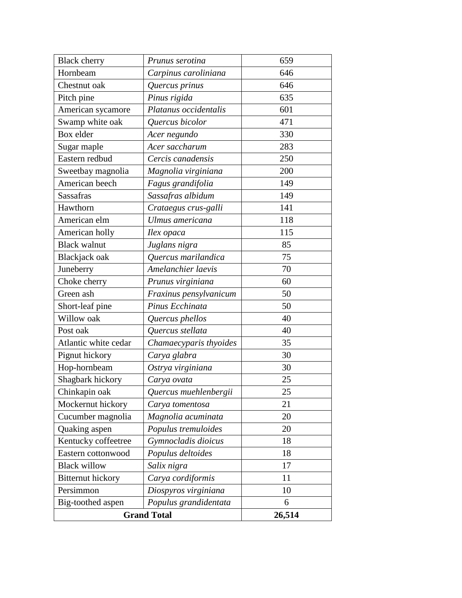| <b>Black cherry</b>      | Prunus serotina        | 659    |
|--------------------------|------------------------|--------|
| Hornbeam                 | Carpinus caroliniana   | 646    |
| Chestnut oak             | Quercus prinus         | 646    |
| Pitch pine               | Pinus rigida           | 635    |
| American sycamore        | Platanus occidentalis  | 601    |
| Swamp white oak          | Quercus bicolor        | 471    |
| Box elder                | Acer negundo           | 330    |
| Sugar maple              | Acer saccharum         | 283    |
| Eastern redbud           | Cercis canadensis      | 250    |
| Sweetbay magnolia        | Magnolia virginiana    | 200    |
| American beech           | Fagus grandifolia      | 149    |
| <b>Sassafras</b>         | Sassafras albidum      | 149    |
| Hawthorn                 | Crataegus crus-galli   | 141    |
| American elm             | Ulmus americana        | 118    |
| American holly           | Ilex opaca             | 115    |
| <b>Black walnut</b>      | Juglans nigra          | 85     |
| Blackjack oak            | Quercus marilandica    | 75     |
| Juneberry                | Amelanchier laevis     | 70     |
| Choke cherry             | Prunus virginiana      | 60     |
| Green ash                | Fraxinus pensylvanicum | 50     |
| Short-leaf pine          | Pinus Ecchinata        | 50     |
| Willow oak               | Quercus phellos        | 40     |
| Post oak                 | Quercus stellata       | 40     |
| Atlantic white cedar     | Chamaecyparis thyoides | 35     |
| Pignut hickory           | Carya glabra           | 30     |
| Hop-hornbeam             | Ostrya virginiana      | 30     |
| Shagbark hickory         | Carya ovata            | 25     |
| Chinkapin oak            | Quercus muehlenbergii  | 25     |
| Mockernut hickory        | Carya tomentosa        | 21     |
| Cucumber magnolia        | Magnolia acuminata     | 20     |
| Quaking aspen            | Populus tremuloides    | 20     |
| Kentucky coffeetree      | Gymnocladis dioicus    | 18     |
| Eastern cottonwood       | Populus deltoides      | 18     |
| <b>Black willow</b>      | Salix nigra            | 17     |
| <b>Bitternut</b> hickory | Carya cordiformis      | 11     |
| Persimmon                | Diospyros virginiana   | 10     |
| Big-toothed aspen        | Populus grandidentata  | 6      |
| <b>Grand Total</b>       |                        | 26,514 |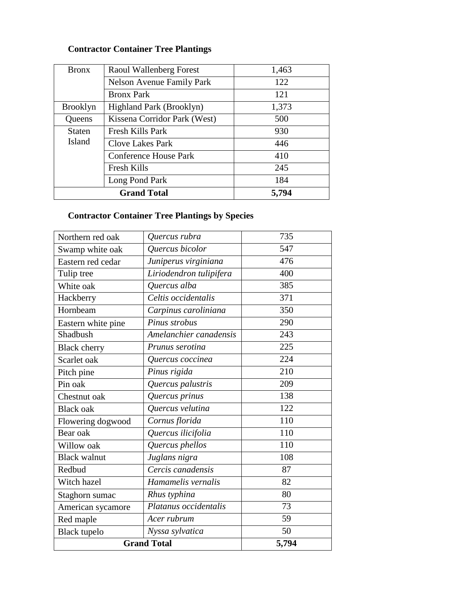# **Contractor Container Tree Plantings**

| <b>Bronx</b>    | Raoul Wallenberg Forest          | 1,463 |
|-----------------|----------------------------------|-------|
|                 | <b>Nelson Avenue Family Park</b> | 122   |
|                 | <b>Bronx Park</b>                | 121   |
| <b>Brooklyn</b> | Highland Park (Brooklyn)         | 1,373 |
| Queens          | Kissena Corridor Park (West)     | 500   |
| <b>Staten</b>   | Fresh Kills Park                 | 930   |
| Island          | <b>Clove Lakes Park</b>          | 446   |
|                 | <b>Conference House Park</b>     | 410   |
|                 | <b>Fresh Kills</b>               | 245   |
|                 | Long Pond Park                   | 184   |
|                 | <b>Grand Total</b>               | 5,794 |

# **Contractor Container Tree Plantings by Species**

| Northern red oak    | Quercus rubra           | 735   |
|---------------------|-------------------------|-------|
| Swamp white oak     | Quercus bicolor         | 547   |
| Eastern red cedar   | Juniperus virginiana    | 476   |
| Tulip tree          | Liriodendron tulipifera | 400   |
| White oak           | Quercus alba            | 385   |
| Hackberry           | Celtis occidentalis     | 371   |
| Hornbeam            | Carpinus caroliniana    | 350   |
| Eastern white pine  | Pinus strobus           | 290   |
| Shadbush            | Amelanchier canadensis  | 243   |
| <b>Black cherry</b> | Prunus serotina         | 225   |
| Scarlet oak         | Quercus coccinea        | 224   |
| Pitch pine          | Pinus rigida            | 210   |
| Pin oak             | Quercus palustris       | 209   |
| Chestnut oak        | Quercus prinus          | 138   |
| <b>Black oak</b>    | Quercus velutina        | 122   |
| Flowering dogwood   | Cornus florida          | 110   |
| Bear oak            | Quercus ilicifolia      | 110   |
| Willow oak          | Quercus phellos         | 110   |
| <b>Black walnut</b> | Juglans nigra           | 108   |
| Redbud              | Cercis canadensis       | 87    |
| Witch hazel         | Hamamelis vernalis      | 82    |
| Staghorn sumac      | Rhus typhina            | 80    |
| American sycamore   | Platanus occidentalis   | 73    |
| Red maple           | Acer rubrum             | 59    |
| <b>Black</b> tupelo | Nyssa sylvatica         | 50    |
| <b>Grand Total</b>  |                         | 5,794 |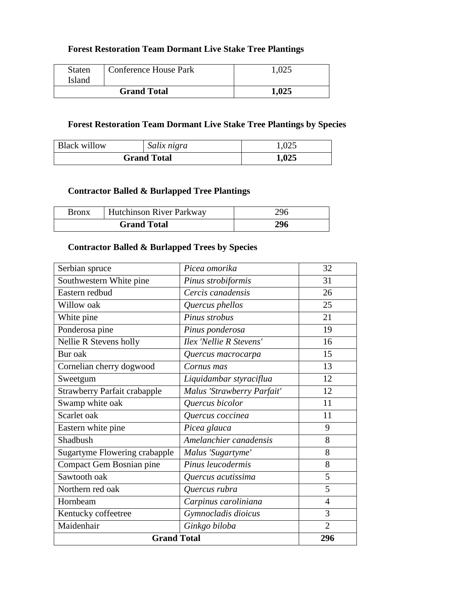#### **Forest Restoration Team Dormant Live Stake Tree Plantings**

| <b>Staten</b><br>Island | <b>Conference House Park</b> |       |
|-------------------------|------------------------------|-------|
| <b>Grand Total</b>      |                              | 1,025 |

#### **Forest Restoration Team Dormant Live Stake Tree Plantings by Species**

| <b>Black willow</b> | Salix nigra | 1,025 |
|---------------------|-------------|-------|
| <b>Grand Total</b>  |             | 1,025 |

#### **Contractor Balled & Burlapped Tree Plantings**

| <b>Bronx</b>       | Hutchinson River Parkway | 296 |
|--------------------|--------------------------|-----|
| <b>Grand Total</b> |                          | 296 |

#### **Contractor Balled & Burlapped Trees by Species**

| <b>Grand Total</b>                  | 296                        |                |
|-------------------------------------|----------------------------|----------------|
| Maidenhair                          | Ginkgo biloba              | $\overline{2}$ |
| Kentucky coffeetree                 | Gymnocladis dioicus        | 3              |
| Hornbeam                            | Carpinus caroliniana       | $\overline{4}$ |
| Northern red oak                    | Quercus rubra              | 5              |
| Sawtooth oak                        | Quercus acutissima         | 5              |
| Compact Gem Bosnian pine            | Pinus leucodermis          | 8              |
| Sugartyme Flowering crabapple       | Malus 'Sugartyme'          | 8              |
| Shadbush                            | Amelanchier canadensis     | 8              |
| Eastern white pine                  | Picea glauca               | 9              |
| Scarlet oak                         | Quercus coccinea           | 11             |
| Swamp white oak                     | Quercus bicolor            | 11             |
| <b>Strawberry Parfait crabapple</b> | Malus 'Strawberry Parfait' | 12             |
| Sweetgum                            | Liquidambar styraciflua    | 12             |
| Cornelian cherry dogwood            | Cornus mas                 | 13             |
| Bur oak                             | Quercus macrocarpa         | 15             |
| Nellie R Stevens holly              | Ilex 'Nellie R Stevens'    | 16             |
| Ponderosa pine                      | Pinus ponderosa            | 19             |
| White pine                          | Pinus strobus              | 21             |
| Willow oak                          | Quercus phellos            | 25             |
| Eastern redbud                      | Cercis canadensis          | 26             |
| Southwestern White pine             | Pinus strobiformis         | 31             |
| Serbian spruce                      | Picea omorika              | 32             |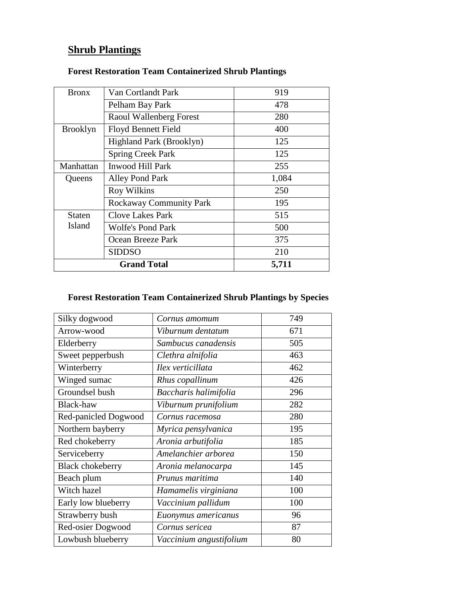# **Shrub Plantings**

| <b>Bronx</b>    | Van Cortlandt Park             | 919   |
|-----------------|--------------------------------|-------|
|                 | Pelham Bay Park                | 478   |
|                 | Raoul Wallenberg Forest        | 280   |
| <b>Brooklyn</b> | <b>Floyd Bennett Field</b>     | 400   |
|                 | Highland Park (Brooklyn)       | 125   |
|                 | <b>Spring Creek Park</b>       | 125   |
| Manhattan       | <b>Inwood Hill Park</b>        | 255   |
| Queens          | Alley Pond Park                | 1,084 |
|                 | <b>Roy Wilkins</b>             | 250   |
|                 | <b>Rockaway Community Park</b> | 195   |
| Staten          | <b>Clove Lakes Park</b>        | 515   |
| Island          | <b>Wolfe's Pond Park</b>       | 500   |
|                 | Ocean Breeze Park              | 375   |
|                 | SIDDSO                         | 210   |
|                 | <b>Grand Total</b>             | 5,711 |

#### **Forest Restoration Team Containerized Shrub Plantings**

## **Forest Restoration Team Containerized Shrub Plantings by Species**

| Silky dogwood           | Cornus amomum           | 749 |
|-------------------------|-------------------------|-----|
| Arrow-wood              | Viburnum dentatum       | 671 |
| Elderberry              | Sambucus canadensis     | 505 |
| Sweet pepperbush        | Clethra alnifolia       | 463 |
| Winterberry             | Ilex verticillata       | 462 |
| Winged sumac            | Rhus copallinum         | 426 |
| Groundsel bush          | Baccharis halimifolia   | 296 |
| Black-haw               | Viburnum prunifolium    | 282 |
| Red-panicled Dogwood    | Cornus racemosa         | 280 |
| Northern bayberry       | Myrica pensylvanica     | 195 |
| Red chokeberry          | Aronia arbutifolia      | 185 |
| Serviceberry            | Amelanchier arborea     | 150 |
| <b>Black chokeberry</b> | Aronia melanocarpa      | 145 |
| Beach plum              | Prunus maritima         | 140 |
| Witch hazel             | Hamamelis virginiana    | 100 |
| Early low blueberry     | Vaccinium pallidum      | 100 |
| Strawberry bush         | Euonymus americanus     | 96  |
| Red-osier Dogwood       | Cornus sericea          | 87  |
| Lowbush blueberry       | Vaccinium angustifolium | 80  |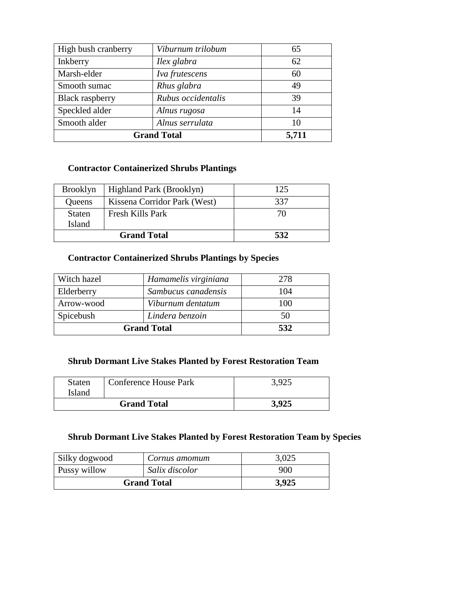| High bush cranberry    | Viburnum trilobum  | 65    |
|------------------------|--------------------|-------|
| Inkberry               | Ilex glabra        | 62    |
| Marsh-elder            | Iva frutescens     | 60    |
| Smooth sumac           | Rhus glabra        | 49    |
| <b>Black raspberry</b> | Rubus occidentalis | 39    |
| Speckled alder         | Alnus rugosa       | 14    |
| Smooth alder           | Alnus serrulata    | 10    |
| <b>Grand Total</b>     |                    | 5,711 |

# **Contractor Containerized Shrubs Plantings**

| <b>Brooklyn</b> | Highland Park (Brooklyn)     | 125 |
|-----------------|------------------------------|-----|
| Queens          | Kissena Corridor Park (West) | 337 |
| <b>Staten</b>   | Fresh Kills Park             | 70  |
| Island          |                              |     |
|                 | <b>Grand Total</b>           | 532 |

#### **Contractor Containerized Shrubs Plantings by Species**

| Witch hazel        | Hamamelis virginiana | 278 |
|--------------------|----------------------|-----|
| Elderberry         | Sambucus canadensis  | 104 |
| Arrow-wood         | Viburnum dentatum    | 100 |
| Spicebush          | Lindera benzoin      | 50  |
| <b>Grand Total</b> |                      | 532 |

#### **Shrub Dormant Live Stakes Planted by Forest Restoration Team**

| <b>Staten</b><br><b>Island</b> | Conference House Park | 3,925 |
|--------------------------------|-----------------------|-------|
| <b>Grand Total</b>             |                       | 3.925 |

### **Shrub Dormant Live Stakes Planted by Forest Restoration Team by Species**

| Silky dogwood      | Cornus amomum  | 3,025 |
|--------------------|----------------|-------|
| Pussy willow       | Salix discolor | 900   |
| <b>Grand Total</b> |                | 3,925 |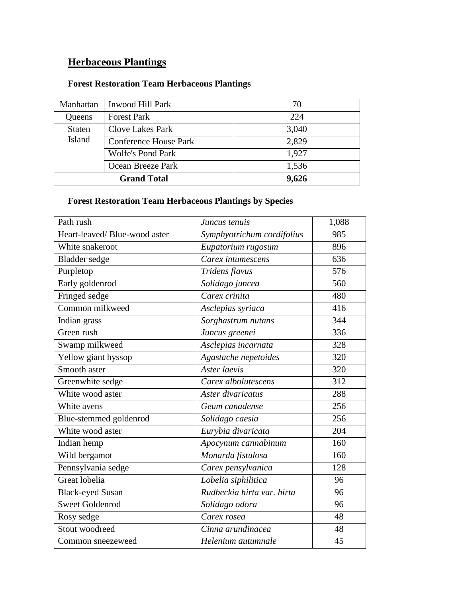# **Herbaceous Plantings**

## **Forest Restoration Team Herbaceous Plantings**

| Manhattan     | Inwood Hill Park             | 70    |
|---------------|------------------------------|-------|
| Queens        | <b>Forest Park</b>           | 224   |
| <b>Staten</b> | <b>Clove Lakes Park</b>      | 3,040 |
| Island        | <b>Conference House Park</b> | 2,829 |
|               | <b>Wolfe's Pond Park</b>     | 1,927 |
|               | Ocean Breeze Park            | 1,536 |
|               | <b>Grand Total</b>           | 9,626 |

## **Forest Restoration Team Herbaceous Plantings by Species**

| Path rush                     | Juncus tenuis              | 1,088 |
|-------------------------------|----------------------------|-------|
| Heart-leaved/ Blue-wood aster | Symphyotrichum cordifolius | 985   |
| White snakeroot               | Eupatorium rugosum         | 896   |
| Bladder sedge                 | Carex intumescens          | 636   |
| Purpletop                     | Tridens flavus             | 576   |
| Early goldenrod               | Solidago juncea            | 560   |
| Fringed sedge                 | Carex crinita              | 480   |
| Common milkweed               | Asclepias syriaca          | 416   |
| Indian grass                  | Sorghastrum nutans         | 344   |
| Green rush                    | Juncus greenei             | 336   |
| Swamp milkweed                | Asclepias incarnata        | 328   |
| Yellow giant hyssop           | Agastache nepetoides       | 320   |
| Smooth aster                  | Aster laevis               | 320   |
| Greenwhite sedge              | Carex albolutescens        | 312   |
| White wood aster              | Aster divaricatus          | 288   |
| White avens                   | Geum canadense             | 256   |
| Blue-stemmed goldenrod        | Solidago caesia            | 256   |
| White wood aster              | Eurybia divaricata         | 204   |
| Indian hemp                   | Apocynum cannabinum        | 160   |
| Wild bergamot                 | Monarda fistulosa          | 160   |
| Pennsylvania sedge            | Carex pensylvanica         | 128   |
| Great lobelia                 | Lobelia siphilitica        | 96    |
| <b>Black-eyed Susan</b>       | Rudbeckia hirta var. hirta | 96    |
| <b>Sweet Goldenrod</b>        | Solidago odora             | 96    |
| Rosy sedge                    | Carex rosea                | 48    |
| Stout woodreed                | Cinna arundinacea          | 48    |
| Common sneezeweed             | Helenium autumnale         | 45    |